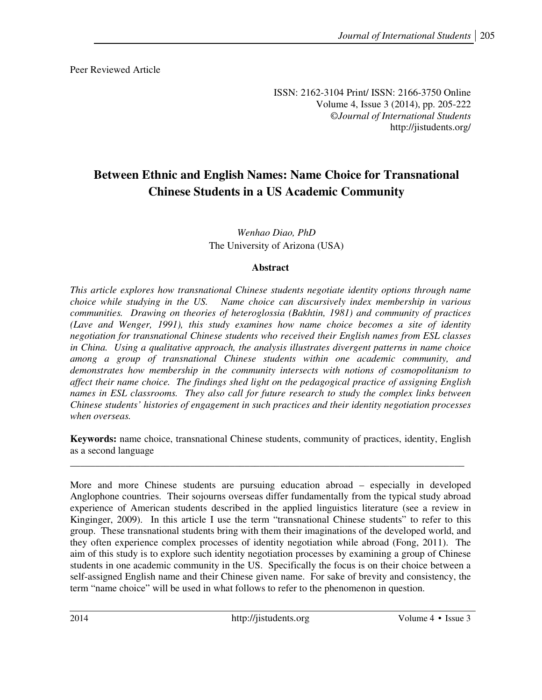Peer Reviewed Article

ISSN: 2162-3104 Print/ ISSN: 2166-3750 Online Volume 4, Issue 3 (2014), pp. 205-222 ©*Journal of International Students* http://jistudents.org/

# **Between Ethnic and English Names: Name Choice for Transnational Chinese Students in a US Academic Community**

*Wenhao Diao, PhD*  The University of Arizona (USA)

# **Abstract**

*This article explores how transnational Chinese students negotiate identity options through name choice while studying in the US. Name choice can discursively index membership in various communities. Drawing on theories of heteroglossia (Bakhtin, 1981) and community of practices (Lave and Wenger, 1991), this study examines how name choice becomes a site of identity negotiation for transnational Chinese students who received their English names from ESL classes in China. Using a qualitative approach, the analysis illustrates divergent patterns in name choice among a group of transnational Chinese students within one academic community, and demonstrates how membership in the community intersects with notions of cosmopolitanism to affect their name choice. The findings shed light on the pedagogical practice of assigning English names in ESL classrooms. They also call for future research to study the complex links between Chinese students' histories of engagement in such practices and their identity negotiation processes when overseas.* 

**Keywords:** name choice, transnational Chinese students, community of practices, identity, English as a second language

\_\_\_\_\_\_\_\_\_\_\_\_\_\_\_\_\_\_\_\_\_\_\_\_\_\_\_\_\_\_\_\_\_\_\_\_\_\_\_\_\_\_\_\_\_\_\_\_\_\_\_\_\_\_\_\_\_\_\_\_\_\_\_\_\_\_\_\_\_\_\_\_\_\_\_\_\_\_\_

More and more Chinese students are pursuing education abroad – especially in developed Anglophone countries. Their sojourns overseas differ fundamentally from the typical study abroad experience of American students described in the applied linguistics literature (see a review in Kinginger, 2009). In this article I use the term "transnational Chinese students" to refer to this group. These transnational students bring with them their imaginations of the developed world, and they often experience complex processes of identity negotiation while abroad (Fong, 2011). The aim of this study is to explore such identity negotiation processes by examining a group of Chinese students in one academic community in the US. Specifically the focus is on their choice between a self-assigned English name and their Chinese given name. For sake of brevity and consistency, the term "name choice" will be used in what follows to refer to the phenomenon in question.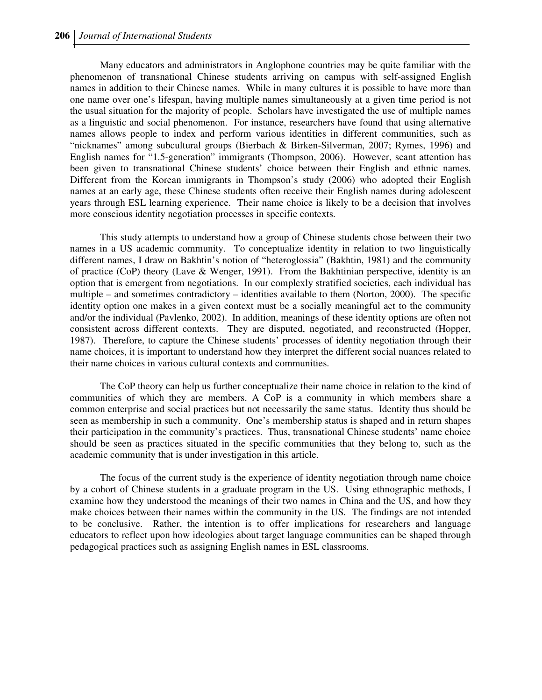Many educators and administrators in Anglophone countries may be quite familiar with the phenomenon of transnational Chinese students arriving on campus with self-assigned English names in addition to their Chinese names. While in many cultures it is possible to have more than one name over one's lifespan, having multiple names simultaneously at a given time period is not the usual situation for the majority of people. Scholars have investigated the use of multiple names as a linguistic and social phenomenon. For instance, researchers have found that using alternative names allows people to index and perform various identities in different communities, such as "nicknames" among subcultural groups (Bierbach & Birken-Silverman, 2007; Rymes, 1996) and English names for "1.5-generation" immigrants (Thompson, 2006). However, scant attention has been given to transnational Chinese students' choice between their English and ethnic names. Different from the Korean immigrants in Thompson's study (2006) who adopted their English names at an early age, these Chinese students often receive their English names during adolescent years through ESL learning experience. Their name choice is likely to be a decision that involves more conscious identity negotiation processes in specific contexts.

This study attempts to understand how a group of Chinese students chose between their two names in a US academic community. To conceptualize identity in relation to two linguistically different names, I draw on Bakhtin's notion of "heteroglossia" (Bakhtin, 1981) and the community of practice (CoP) theory (Lave & Wenger, 1991). From the Bakhtinian perspective, identity is an option that is emergent from negotiations. In our complexly stratified societies, each individual has multiple – and sometimes contradictory – identities available to them (Norton, 2000). The specific identity option one makes in a given context must be a socially meaningful act to the community and/or the individual (Pavlenko, 2002). In addition, meanings of these identity options are often not consistent across different contexts. They are disputed, negotiated, and reconstructed (Hopper, 1987). Therefore, to capture the Chinese students' processes of identity negotiation through their name choices, it is important to understand how they interpret the different social nuances related to their name choices in various cultural contexts and communities.

The CoP theory can help us further conceptualize their name choice in relation to the kind of communities of which they are members. A CoP is a community in which members share a common enterprise and social practices but not necessarily the same status. Identity thus should be seen as membership in such a community. One's membership status is shaped and in return shapes their participation in the community's practices. Thus, transnational Chinese students' name choice should be seen as practices situated in the specific communities that they belong to, such as the academic community that is under investigation in this article.

The focus of the current study is the experience of identity negotiation through name choice by a cohort of Chinese students in a graduate program in the US. Using ethnographic methods, I examine how they understood the meanings of their two names in China and the US, and how they make choices between their names within the community in the US. The findings are not intended to be conclusive. Rather, the intention is to offer implications for researchers and language educators to reflect upon how ideologies about target language communities can be shaped through pedagogical practices such as assigning English names in ESL classrooms.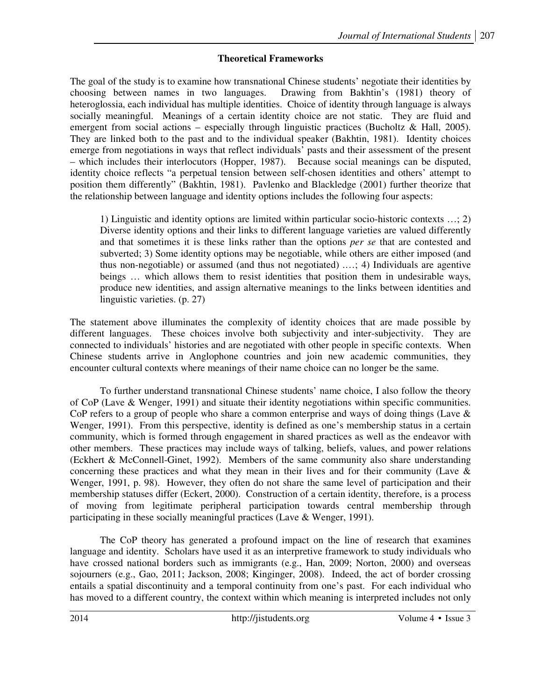# **Theoretical Frameworks**

The goal of the study is to examine how transnational Chinese students' negotiate their identities by choosing between names in two languages. Drawing from Bakhtin's (1981) theory of heteroglossia, each individual has multiple identities. Choice of identity through language is always socially meaningful. Meanings of a certain identity choice are not static. They are fluid and emergent from social actions – especially through linguistic practices (Bucholtz & Hall, 2005). They are linked both to the past and to the individual speaker (Bakhtin, 1981). Identity choices emerge from negotiations in ways that reflect individuals' pasts and their assessment of the present – which includes their interlocutors (Hopper, 1987). Because social meanings can be disputed, identity choice reflects "a perpetual tension between self-chosen identities and others' attempt to position them differently" (Bakhtin, 1981). Pavlenko and Blackledge (2001) further theorize that the relationship between language and identity options includes the following four aspects:

1) Linguistic and identity options are limited within particular socio-historic contexts …; 2) Diverse identity options and their links to different language varieties are valued differently and that sometimes it is these links rather than the options *per se* that are contested and subverted; 3) Some identity options may be negotiable, while others are either imposed (and thus non-negotiable) or assumed (and thus not negotiated) .…; 4) Individuals are agentive beings ... which allows them to resist identities that position them in undesirable ways, produce new identities, and assign alternative meanings to the links between identities and linguistic varieties. (p. 27)

The statement above illuminates the complexity of identity choices that are made possible by different languages. These choices involve both subjectivity and inter-subjectivity. They are connected to individuals' histories and are negotiated with other people in specific contexts. When Chinese students arrive in Anglophone countries and join new academic communities, they encounter cultural contexts where meanings of their name choice can no longer be the same.

To further understand transnational Chinese students' name choice, I also follow the theory of CoP (Lave & Wenger, 1991) and situate their identity negotiations within specific communities. CoP refers to a group of people who share a common enterprise and ways of doing things (Lave  $\&$ Wenger, 1991). From this perspective, identity is defined as one's membership status in a certain community, which is formed through engagement in shared practices as well as the endeavor with other members. These practices may include ways of talking, beliefs, values, and power relations (Eckhert & McConnell-Ginet, 1992). Members of the same community also share understanding concerning these practices and what they mean in their lives and for their community (Lave & Wenger, 1991, p. 98). However, they often do not share the same level of participation and their membership statuses differ (Eckert, 2000). Construction of a certain identity, therefore, is a process of moving from legitimate peripheral participation towards central membership through participating in these socially meaningful practices (Lave & Wenger, 1991).

The CoP theory has generated a profound impact on the line of research that examines language and identity. Scholars have used it as an interpretive framework to study individuals who have crossed national borders such as immigrants (e.g., Han, 2009; Norton, 2000) and overseas sojourners (e.g., Gao, 2011; Jackson, 2008; Kinginger, 2008). Indeed, the act of border crossing entails a spatial discontinuity and a temporal continuity from one's past. For each individual who has moved to a different country, the context within which meaning is interpreted includes not only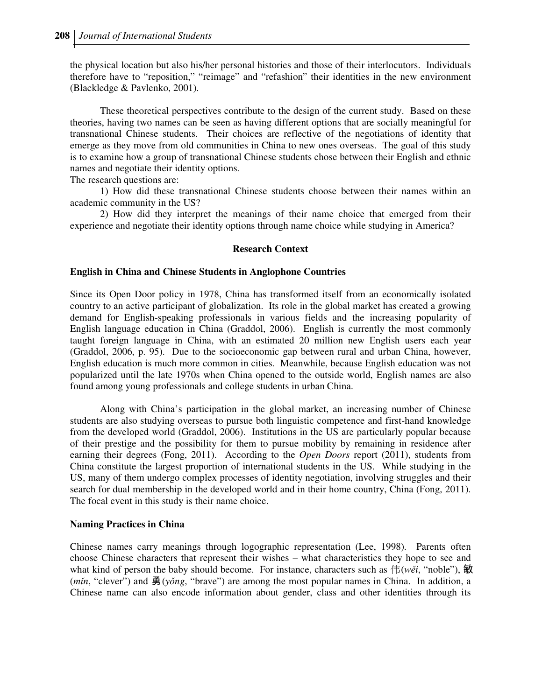the physical location but also his/her personal histories and those of their interlocutors. Individuals therefore have to "reposition," "reimage" and "refashion" their identities in the new environment (Blackledge & Pavlenko, 2001).

These theoretical perspectives contribute to the design of the current study. Based on these theories, having two names can be seen as having different options that are socially meaningful for transnational Chinese students. Their choices are reflective of the negotiations of identity that emerge as they move from old communities in China to new ones overseas. The goal of this study is to examine how a group of transnational Chinese students chose between their English and ethnic names and negotiate their identity options.

The research questions are:

1) How did these transnational Chinese students choose between their names within an academic community in the US?

2) How did they interpret the meanings of their name choice that emerged from their experience and negotiate their identity options through name choice while studying in America?

#### **Research Context**

#### **English in China and Chinese Students in Anglophone Countries**

Since its Open Door policy in 1978, China has transformed itself from an economically isolated country to an active participant of globalization. Its role in the global market has created a growing demand for English-speaking professionals in various fields and the increasing popularity of English language education in China (Graddol, 2006). English is currently the most commonly taught foreign language in China, with an estimated 20 million new English users each year (Graddol, 2006, p. 95). Due to the socioeconomic gap between rural and urban China, however, English education is much more common in cities. Meanwhile, because English education was not popularized until the late 1970s when China opened to the outside world, English names are also found among young professionals and college students in urban China.

 Along with China's participation in the global market, an increasing number of Chinese students are also studying overseas to pursue both linguistic competence and first-hand knowledge from the developed world (Graddol, 2006). Institutions in the US are particularly popular because of their prestige and the possibility for them to pursue mobility by remaining in residence after earning their degrees (Fong, 2011). According to the *Open Doors* report (2011), students from China constitute the largest proportion of international students in the US. While studying in the US, many of them undergo complex processes of identity negotiation, involving struggles and their search for dual membership in the developed world and in their home country, China (Fong, 2011). The focal event in this study is their name choice.

#### **Naming Practices in China**

Chinese names carry meanings through logographic representation (Lee, 1998). Parents often choose Chinese characters that represent their wishes – what characteristics they hope to see and what kind of person the baby should become. For instance, characters such as 伟  $(wei, "noble"),$ (*m*ǐ*n*, "clever") and 勇 (*y*ǒ*ng*, "brave") are among the most popular names in China. In addition, a Chinese name can also encode information about gender, class and other identities through its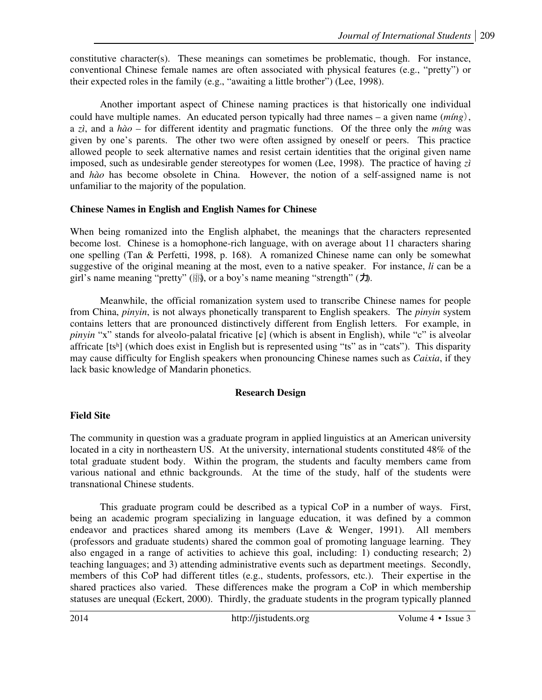constitutive character(s). These meanings can sometimes be problematic, though. For instance, conventional Chinese female names are often associated with physical features (e.g., "pretty") or their expected roles in the family (e.g., "awaiting a little brother") (Lee, 1998).

 Another important aspect of Chinese naming practices is that historically one individual could have multiple names. An educated person typically had three names – a given name (*míng*), a *zì*, and a *hào –* for different identity and pragmatic functions. Of the three only the *míng* was given by one's parents. The other two were often assigned by oneself or peers. This practice allowed people to seek alternative names and resist certain identities that the original given name imposed, such as undesirable gender stereotypes for women (Lee, 1998). The practice of having *zì*  and *hào* has become obsolete in China. However, the notion of a self-assigned name is not unfamiliar to the majority of the population.

### **Chinese Names in English and English Names for Chinese**

When being romanized into the English alphabet, the meanings that the characters represented become lost. Chinese is a homophone-rich language, with on average about 11 characters sharing one spelling (Tan & Perfetti, 1998, p. 168). A romanized Chinese name can only be somewhat suggestive of the original meaning at the most, even to a native speaker. For instance, *li* can be a girl's name meaning "pretty" (丽, or a boy's name meaning "strength" (力).

 Meanwhile, the official romanization system used to transcribe Chinese names for people from China, *pinyin*, is not always phonetically transparent to English speakers. The *pinyin* system contains letters that are pronounced distinctively different from English letters. For example, in *pinyin* "x" stands for alveolo-palatal fricative [ɕ] (which is absent in English), while "c" is alveolar affricate [tsʰ] (which does exist in English but is represented using "ts" as in "cats"). This disparity may cause difficulty for English speakers when pronouncing Chinese names such as *Caixia*, if they lack basic knowledge of Mandarin phonetics.

### **Research Design**

### **Field Site**

The community in question was a graduate program in applied linguistics at an American university located in a city in northeastern US. At the university, international students constituted 48% of the total graduate student body. Within the program, the students and faculty members came from various national and ethnic backgrounds. At the time of the study, half of the students were transnational Chinese students.

This graduate program could be described as a typical CoP in a number of ways. First, being an academic program specializing in language education, it was defined by a common endeavor and practices shared among its members (Lave & Wenger, 1991). All members (professors and graduate students) shared the common goal of promoting language learning. They also engaged in a range of activities to achieve this goal, including: 1) conducting research; 2) teaching languages; and 3) attending administrative events such as department meetings. Secondly, members of this CoP had different titles (e.g., students, professors, etc.). Their expertise in the shared practices also varied. These differences make the program a CoP in which membership statuses are unequal (Eckert, 2000). Thirdly, the graduate students in the program typically planned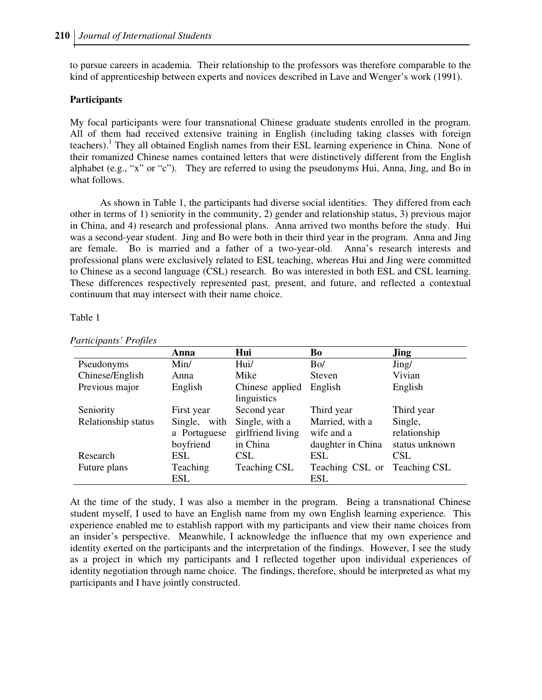to pursue careers in academia. Their relationship to the professors was therefore comparable to the kind of apprenticeship between experts and novices described in Lave and Wenger's work (1991).

#### **Participants**

My focal participants were four transnational Chinese graduate students enrolled in the program. All of them had received extensive training in English (including taking classes with foreign teachers).<sup>1</sup> They all obtained English names from their ESL learning experience in China. None of their romanized Chinese names contained letters that were distinctively different from the English alphabet (e.g., "x" or "c"). They are referred to using the pseudonyms Hui, Anna, Jing, and Bo in what follows.

As shown in Table 1, the participants had diverse social identities. They differed from each other in terms of 1) seniority in the community, 2) gender and relationship status, 3) previous major in China, and 4) research and professional plans. Anna arrived two months before the study. Hui was a second-year student. Jing and Bo were both in their third year in the program. Anna and Jing are female. Bo is married and a father of a two-year-old. Anna's research interests and professional plans were exclusively related to ESL teaching, whereas Hui and Jing were committed to Chinese as a second language (CSL) research. Bo was interested in both ESL and CSL learning. These differences respectively represented past, present, and future, and reflected a contextual continuum that may intersect with their name choice.

#### Table 1

|                     | Anna         | Hui                            | Bo                | <b>Jing</b>         |
|---------------------|--------------|--------------------------------|-------------------|---------------------|
| Pseudonyms          | Min/         | Hui/                           | Bo/               | Jing/               |
| Chinese/English     | Anna         | Mike                           | Steven            | Vivian              |
| Previous major      | English      | Chinese applied<br>linguistics | English           | English             |
| Seniority           | First year   | Second year                    | Third year        | Third year          |
| Relationship status | Single, with | Single, with a                 | Married, with a   | Single,             |
|                     | a Portuguese | girlfriend living              | wife and a        | relationship        |
|                     | boyfriend    | in China                       | daughter in China | status unknown      |
| Research            | ESL          | <b>CSL</b>                     | <b>ESL</b>        | <b>CSL</b>          |
| Future plans        | Teaching     | <b>Teaching CSL</b>            | Teaching CSL or   | <b>Teaching CSL</b> |
|                     | ESL          |                                | <b>ESL</b>        |                     |

*Participants' Profiles* 

At the time of the study, I was also a member in the program. Being a transnational Chinese student myself, I used to have an English name from my own English learning experience. This experience enabled me to establish rapport with my participants and view their name choices from an insider's perspective. Meanwhile, I acknowledge the influence that my own experience and identity exerted on the participants and the interpretation of the findings. However, I see the study as a project in which my participants and I reflected together upon individual experiences of identity negotiation through name choice. The findings, therefore, should be interpreted as what my participants and I have jointly constructed.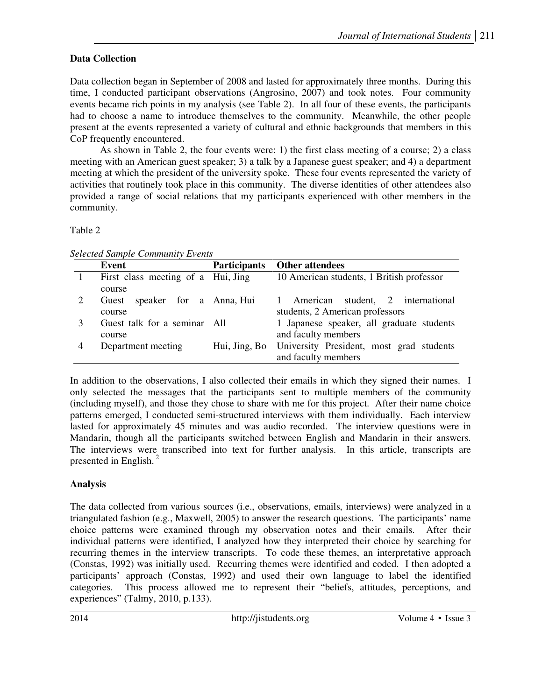# **Data Collection**

Data collection began in September of 2008 and lasted for approximately three months. During this time, I conducted participant observations (Angrosino, 2007) and took notes. Four community events became rich points in my analysis (see Table 2). In all four of these events, the participants had to choose a name to introduce themselves to the community. Meanwhile, the other people present at the events represented a variety of cultural and ethnic backgrounds that members in this CoP frequently encountered.

As shown in Table 2, the four events were: 1) the first class meeting of a course; 2) a class meeting with an American guest speaker; 3) a talk by a Japanese guest speaker; and 4) a department meeting at which the president of the university spoke. These four events represented the variety of activities that routinely took place in this community. The diverse identities of other attendees also provided a range of social relations that my participants experienced with other members in the community.

# Table 2

|   | Event                              | <b>Participants</b> | <b>Other attendees</b>                    |
|---|------------------------------------|---------------------|-------------------------------------------|
|   | First class meeting of a Hui, Jing |                     | 10 American students, 1 British professor |
|   | course                             |                     |                                           |
|   | speaker for a Anna, Hui<br>Guest   |                     | 1 American student, 2 international       |
|   | course                             |                     | students, 2 American professors           |
|   | Guest talk for a seminar All       |                     | 1 Japanese speaker, all graduate students |
|   | course                             |                     | and faculty members                       |
| 4 | Department meeting                 | Hui, Jing, Bo       | University President, most grad students  |
|   |                                    |                     | and faculty members                       |

In addition to the observations, I also collected their emails in which they signed their names. I only selected the messages that the participants sent to multiple members of the community (including myself), and those they chose to share with me for this project. After their name choice patterns emerged, I conducted semi-structured interviews with them individually. Each interview lasted for approximately 45 minutes and was audio recorded. The interview questions were in Mandarin, though all the participants switched between English and Mandarin in their answers. The interviews were transcribed into text for further analysis. In this article, transcripts are presented in English. $<sup>2</sup>$ </sup>

# **Analysis**

The data collected from various sources (i.e., observations, emails, interviews) were analyzed in a triangulated fashion (e.g., Maxwell, 2005) to answer the research questions. The participants' name choice patterns were examined through my observation notes and their emails. After their individual patterns were identified, I analyzed how they interpreted their choice by searching for recurring themes in the interview transcripts. To code these themes, an interpretative approach (Constas, 1992) was initially used. Recurring themes were identified and coded. I then adopted a participants' approach (Constas, 1992) and used their own language to label the identified categories. This process allowed me to represent their "beliefs, attitudes, perceptions, and experiences" (Talmy, 2010, p.133).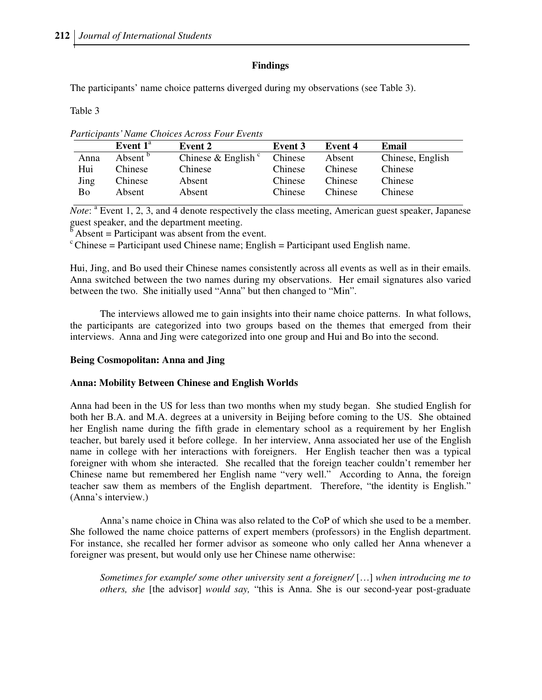### **Findings**

The participants' name choice patterns diverged during my observations (see Table 3).

Table 3

*Participants' Name Choices Across Four Events* 

| Event $1^{\text{a}}$ | Event 2                        | Event 3 | Event 4 | Email            |
|----------------------|--------------------------------|---------|---------|------------------|
| Absent <sup>b</sup>  | Chinese & English <sup>c</sup> | Chinese | Absent  | Chinese, English |
| Chinese              | Chinese                        | Chinese | Chinese | Chinese          |
| Chinese              | Absent                         | Chinese | Chinese | Chinese          |
| Absent               | Absent                         | Chinese | Chinese | Chinese          |
|                      |                                |         |         |                  |

*Note*: <sup>a</sup> Event 1, 2, 3, and 4 denote respectively the class meeting, American guest speaker, Japanese guest speaker, and the department meeting.

 $\overrightarrow{b}$  Absent = Participant was absent from the event.

 $\epsilon$ Chinese = Participant used Chinese name; English = Participant used English name.

Hui, Jing, and Bo used their Chinese names consistently across all events as well as in their emails. Anna switched between the two names during my observations. Her email signatures also varied between the two. She initially used "Anna" but then changed to "Min".

The interviews allowed me to gain insights into their name choice patterns. In what follows, the participants are categorized into two groups based on the themes that emerged from their interviews. Anna and Jing were categorized into one group and Hui and Bo into the second.

### **Being Cosmopolitan: Anna and Jing**

#### **Anna: Mobility Between Chinese and English Worlds**

Anna had been in the US for less than two months when my study began. She studied English for both her B.A. and M.A. degrees at a university in Beijing before coming to the US. She obtained her English name during the fifth grade in elementary school as a requirement by her English teacher, but barely used it before college. In her interview, Anna associated her use of the English name in college with her interactions with foreigners. Her English teacher then was a typical foreigner with whom she interacted. She recalled that the foreign teacher couldn't remember her Chinese name but remembered her English name "very well." According to Anna, the foreign teacher saw them as members of the English department. Therefore, "the identity is English." (Anna's interview.)

Anna's name choice in China was also related to the CoP of which she used to be a member. She followed the name choice patterns of expert members (professors) in the English department. For instance, she recalled her former advisor as someone who only called her Anna whenever a foreigner was present, but would only use her Chinese name otherwise:

*Sometimes for example/ some other university sent a foreigner/* […] *when introducing me to others, she* [the advisor] *would say,* "this is Anna. She is our second-year post-graduate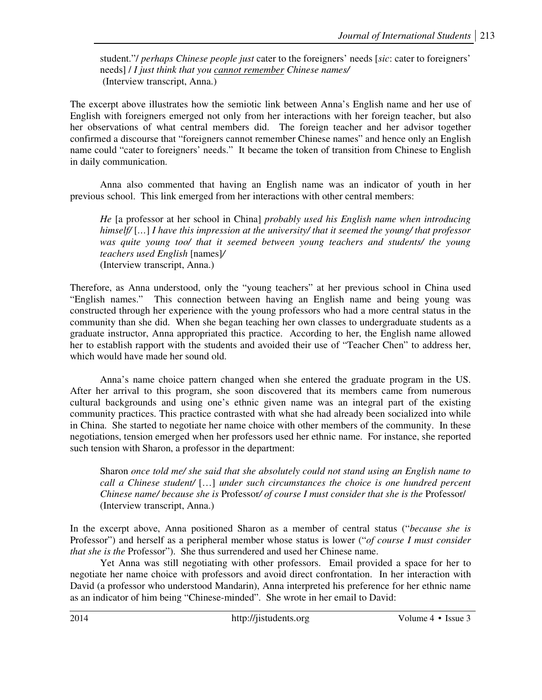student."/ *perhaps Chinese people just* cater to the foreigners' needs [*sic*: cater to foreigners' needs] / *I just think that you cannot remember Chinese names/*  (Interview transcript, Anna.)

The excerpt above illustrates how the semiotic link between Anna's English name and her use of English with foreigners emerged not only from her interactions with her foreign teacher, but also her observations of what central members did. The foreign teacher and her advisor together confirmed a discourse that "foreigners cannot remember Chinese names" and hence only an English name could "cater to foreigners' needs." It became the token of transition from Chinese to English in daily communication.

Anna also commented that having an English name was an indicator of youth in her previous school. This link emerged from her interactions with other central members:

*He* [a professor at her school in China] *probably used his English name when introducing himself/* [*…*] *I have this impression at the university/ that it seemed the young/ that professor was quite young too/ that it seemed between young teachers and students/ the young teachers used English* [names]*/*  (Interview transcript, Anna.)

Therefore, as Anna understood, only the "young teachers" at her previous school in China used "English names." This connection between having an English name and being young was constructed through her experience with the young professors who had a more central status in the community than she did. When she began teaching her own classes to undergraduate students as a graduate instructor, Anna appropriated this practice. According to her, the English name allowed her to establish rapport with the students and avoided their use of "Teacher Chen" to address her, which would have made her sound old.

 Anna's name choice pattern changed when she entered the graduate program in the US. After her arrival to this program, she soon discovered that its members came from numerous cultural backgrounds and using one's ethnic given name was an integral part of the existing community practices. This practice contrasted with what she had already been socialized into while in China. She started to negotiate her name choice with other members of the community. In these negotiations, tension emerged when her professors used her ethnic name. For instance, she reported such tension with Sharon, a professor in the department:

Sharon *once told me/ she said that she absolutely could not stand using an English name to call a Chinese student/* […] *under such circumstances the choice is one hundred percent Chinese name/ because she is* Professor*/ of course I must consider that she is the* Professor/ (Interview transcript, Anna.)

In the excerpt above, Anna positioned Sharon as a member of central status ("*because she is*  Professor") and herself as a peripheral member whose status is lower ("*of course I must consider that she is the* Professor"). She thus surrendered and used her Chinese name.

Yet Anna was still negotiating with other professors. Email provided a space for her to negotiate her name choice with professors and avoid direct confrontation. In her interaction with David (a professor who understood Mandarin), Anna interpreted his preference for her ethnic name as an indicator of him being "Chinese-minded". She wrote in her email to David: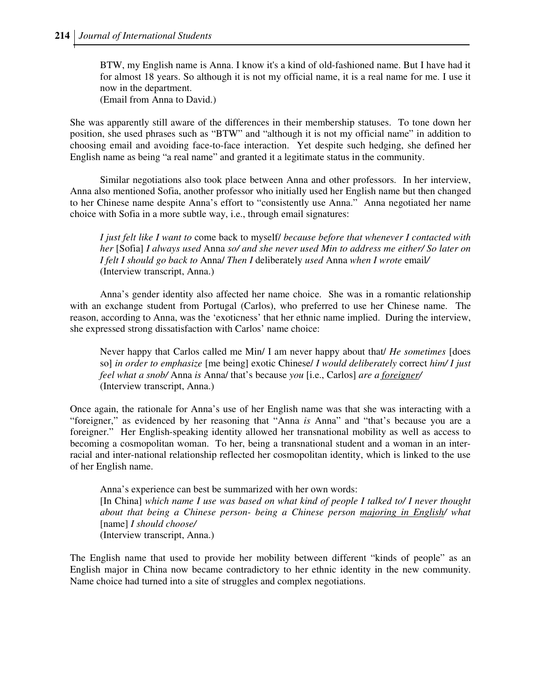BTW, my English name is Anna. I know it's a kind of old-fashioned name. But I have had it for almost 18 years. So although it is not my official name, it is a real name for me. I use it now in the department. (Email from Anna to David.)

She was apparently still aware of the differences in their membership statuses. To tone down her position, she used phrases such as "BTW" and "although it is not my official name" in addition to choosing email and avoiding face-to-face interaction. Yet despite such hedging, she defined her English name as being "a real name" and granted it a legitimate status in the community.

Similar negotiations also took place between Anna and other professors. In her interview, Anna also mentioned Sofia, another professor who initially used her English name but then changed to her Chinese name despite Anna's effort to "consistently use Anna." Anna negotiated her name choice with Sofia in a more subtle way, i.e., through email signatures:

*I just felt like I want to* come back to myself/ *because before that whenever I contacted with her* [Sofia] *I always used* Anna *so/ and she never used Min to address me either/ So later on I felt I should go back to* Anna/ *Then I* deliberately *used* Anna *when I wrote* email*/*  (Interview transcript, Anna.)

 Anna's gender identity also affected her name choice. She was in a romantic relationship with an exchange student from Portugal (Carlos), who preferred to use her Chinese name. The reason, according to Anna, was the 'exoticness' that her ethnic name implied. During the interview, she expressed strong dissatisfaction with Carlos' name choice:

Never happy that Carlos called me Min/ I am never happy about that/ *He sometimes* [does so] *in order to emphasize* [me being] exotic Chinese/ *I would deliberately* correct *him/ I just feel what a snob/* Anna *is* Anna/ that's because *you* [i.e., Carlos] *are a foreigner/*  (Interview transcript, Anna.)

Once again, the rationale for Anna's use of her English name was that she was interacting with a "foreigner," as evidenced by her reasoning that "Anna *is* Anna" and "that's because you are a foreigner." Her English-speaking identity allowed her transnational mobility as well as access to becoming a cosmopolitan woman. To her, being a transnational student and a woman in an interracial and inter-national relationship reflected her cosmopolitan identity, which is linked to the use of her English name.

Anna's experience can best be summarized with her own words: [In China] *which name I use was based on what kind of people I talked to/ I never thought about that being a Chinese person- being a Chinese person majoring in English/ what*  [name] *I should choose/*  (Interview transcript, Anna.)

The English name that used to provide her mobility between different "kinds of people" as an English major in China now became contradictory to her ethnic identity in the new community. Name choice had turned into a site of struggles and complex negotiations.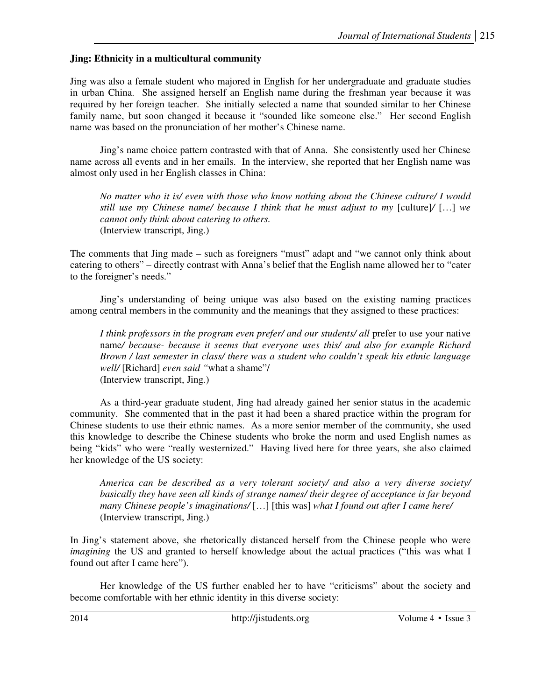# **Jing: Ethnicity in a multicultural community**

Jing was also a female student who majored in English for her undergraduate and graduate studies in urban China. She assigned herself an English name during the freshman year because it was required by her foreign teacher. She initially selected a name that sounded similar to her Chinese family name, but soon changed it because it "sounded like someone else."Her second English name was based on the pronunciation of her mother's Chinese name.

Jing's name choice pattern contrasted with that of Anna. She consistently used her Chinese name across all events and in her emails. In the interview, she reported that her English name was almost only used in her English classes in China:

*No matter who it is/ even with those who know nothing about the Chinese culture/ I would still use my Chinese name/ because I think that he must adjust to my [culture]/* [...] we *cannot only think about catering to others.*  (Interview transcript, Jing.)

The comments that Jing made – such as foreigners "must" adapt and "we cannot only think about catering to others" – directly contrast with Anna's belief that the English name allowed her to "cater to the foreigner's needs."

Jing's understanding of being unique was also based on the existing naming practices among central members in the community and the meanings that they assigned to these practices:

*I think professors in the program even prefer/ and our students/ all prefer to use your native* name*/ because- because it seems that everyone uses this/ and also for example Richard Brown / last semester in class/ there was a student who couldn't speak his ethnic language well/* [Richard] *even said "*what a shame"/ (Interview transcript, Jing.)

 As a third-year graduate student, Jing had already gained her senior status in the academic community. She commented that in the past it had been a shared practice within the program for Chinese students to use their ethnic names. As a more senior member of the community, she used this knowledge to describe the Chinese students who broke the norm and used English names as being "kids" who were "really westernized." Having lived here for three years, she also claimed her knowledge of the US society:

*America can be described as a very tolerant society/ and also a very diverse society/ basically they have seen all kinds of strange names/ their degree of acceptance is far beyond many Chinese people's imaginations/* […] [this was] *what I found out after I came here/*  (Interview transcript, Jing.)

In Jing's statement above, she rhetorically distanced herself from the Chinese people who were *imagining* the US and granted to herself knowledge about the actual practices ("this was what I found out after I came here").

Her knowledge of the US further enabled her to have "criticisms" about the society and become comfortable with her ethnic identity in this diverse society: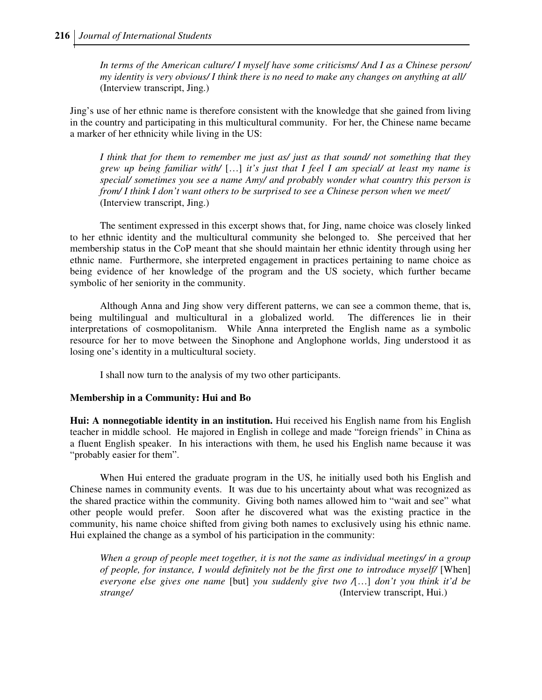*In terms of the American culture/ I myself have some criticisms/ And I as a Chinese person/ my identity is very obvious/ I think there is no need to make any changes on anything at all/*  (Interview transcript, Jing.)

Jing's use of her ethnic name is therefore consistent with the knowledge that she gained from living in the country and participating in this multicultural community. For her, the Chinese name became a marker of her ethnicity while living in the US:

*I think that for them to remember me just as/ just as that sound/ not something that they grew up being familiar with/* […] *it's just that I feel I am special/ at least my name is special/ sometimes you see a name Amy/ and probably wonder what country this person is from/ I think I don't want others to be surprised to see a Chinese person when we meet/*  (Interview transcript, Jing.)

The sentiment expressed in this excerpt shows that, for Jing, name choice was closely linked to her ethnic identity and the multicultural community she belonged to. She perceived that her membership status in the CoP meant that she should maintain her ethnic identity through using her ethnic name. Furthermore, she interpreted engagement in practices pertaining to name choice as being evidence of her knowledge of the program and the US society, which further became symbolic of her seniority in the community.

 Although Anna and Jing show very different patterns, we can see a common theme, that is, being multilingual and multicultural in a globalized world. The differences lie in their interpretations of cosmopolitanism. While Anna interpreted the English name as a symbolic resource for her to move between the Sinophone and Anglophone worlds, Jing understood it as losing one's identity in a multicultural society.

I shall now turn to the analysis of my two other participants.

### **Membership in a Community: Hui and Bo**

**Hui: A nonnegotiable identity in an institution.** Hui received his English name from his English teacher in middle school. He majored in English in college and made "foreign friends" in China as a fluent English speaker. In his interactions with them, he used his English name because it was "probably easier for them".

When Hui entered the graduate program in the US, he initially used both his English and Chinese names in community events. It was due to his uncertainty about what was recognized as the shared practice within the community. Giving both names allowed him to "wait and see" what other people would prefer. Soon after he discovered what was the existing practice in the community, his name choice shifted from giving both names to exclusively using his ethnic name. Hui explained the change as a symbol of his participation in the community:

*When a group of people meet together, it is not the same as individual meetings/ in a group of people, for instance, I would definitely not be the first one to introduce myself/* [When] *everyone else gives one name* [but] *you suddenly give two /*[…] *don't you think it'd be strange/* (Interview transcript, Hui.)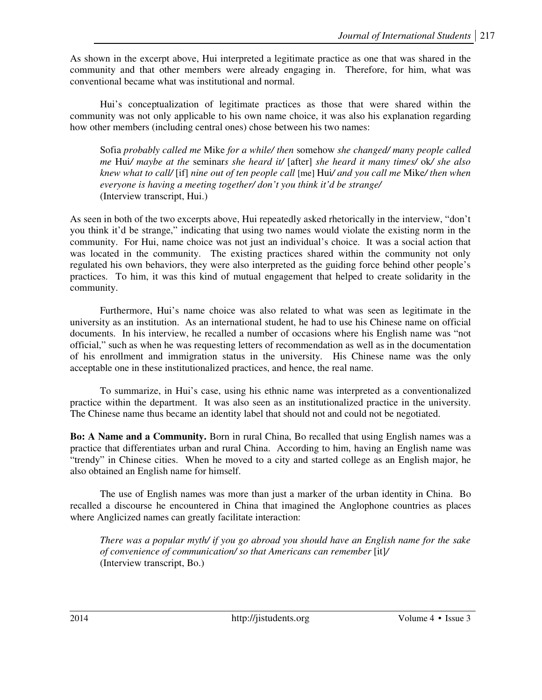As shown in the excerpt above, Hui interpreted a legitimate practice as one that was shared in the community and that other members were already engaging in. Therefore, for him, what was conventional became what was institutional and normal.

Hui's conceptualization of legitimate practices as those that were shared within the community was not only applicable to his own name choice, it was also his explanation regarding how other members (including central ones) chose between his two names:

Sofia *probably called me* Mike *for a while/ then* somehow *she changed/ many people called me* Hui*/ maybe at the* seminar*s she heard it/* [after] *she heard it many times/* ok*/ she also knew what to call/* [if] *nine out of ten people call* [me] Hui*/ and you call me* Mike*/ then when everyone is having a meeting together/ don't you think it'd be strange/*  (Interview transcript, Hui.)

As seen in both of the two excerpts above, Hui repeatedly asked rhetorically in the interview, "don't you think it'd be strange," indicating that using two names would violate the existing norm in the community. For Hui, name choice was not just an individual's choice. It was a social action that was located in the community. The existing practices shared within the community not only regulated his own behaviors, they were also interpreted as the guiding force behind other people's practices. To him, it was this kind of mutual engagement that helped to create solidarity in the community.

Furthermore, Hui's name choice was also related to what was seen as legitimate in the university as an institution. As an international student, he had to use his Chinese name on official documents. In his interview, he recalled a number of occasions where his English name was "not official," such as when he was requesting letters of recommendation as well as in the documentation of his enrollment and immigration status in the university. His Chinese name was the only acceptable one in these institutionalized practices, and hence, the real name.

To summarize, in Hui's case, using his ethnic name was interpreted as a conventionalized practice within the department. It was also seen as an institutionalized practice in the university. The Chinese name thus became an identity label that should not and could not be negotiated.

**Bo: A Name and a Community.** Born in rural China, Bo recalled that using English names was a practice that differentiates urban and rural China. According to him, having an English name was "trendy" in Chinese cities. When he moved to a city and started college as an English major, he also obtained an English name for himself.

The use of English names was more than just a marker of the urban identity in China. Bo recalled a discourse he encountered in China that imagined the Anglophone countries as places where Anglicized names can greatly facilitate interaction:

*There was a popular myth/ if you go abroad you should have an English name for the sake of convenience of communication/ so that Americans can remember* [it]*/*  (Interview transcript, Bo.)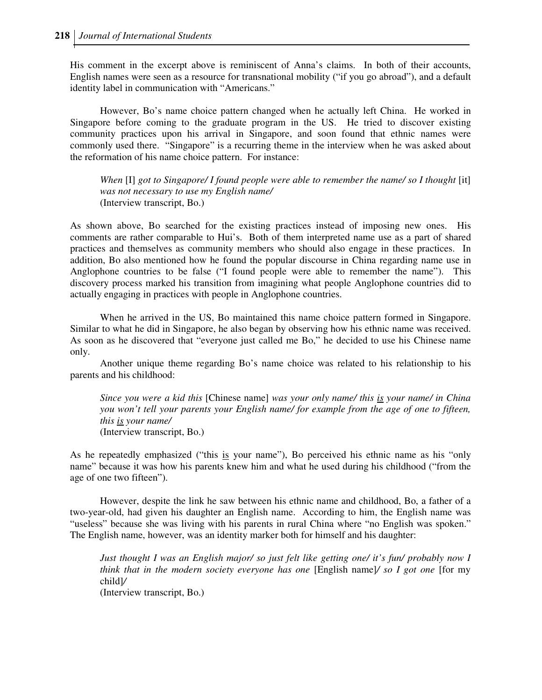His comment in the excerpt above is reminiscent of Anna's claims. In both of their accounts, English names were seen as a resource for transnational mobility ("if you go abroad"), and a default identity label in communication with "Americans."

However, Bo's name choice pattern changed when he actually left China. He worked in Singapore before coming to the graduate program in the US. He tried to discover existing community practices upon his arrival in Singapore, and soon found that ethnic names were commonly used there. "Singapore" is a recurring theme in the interview when he was asked about the reformation of his name choice pattern. For instance:

*When* [I] got to Singapore/ I found people were able to remember the name/ so I thought [it] *was not necessary to use my English name/*  (Interview transcript, Bo.)

As shown above, Bo searched for the existing practices instead of imposing new ones. His comments are rather comparable to Hui's. Both of them interpreted name use as a part of shared practices and themselves as community members who should also engage in these practices. In addition, Bo also mentioned how he found the popular discourse in China regarding name use in Anglophone countries to be false ("I found people were able to remember the name"). This discovery process marked his transition from imagining what people Anglophone countries did to actually engaging in practices with people in Anglophone countries.

When he arrived in the US, Bo maintained this name choice pattern formed in Singapore. Similar to what he did in Singapore, he also began by observing how his ethnic name was received. As soon as he discovered that "everyone just called me Bo," he decided to use his Chinese name only.

Another unique theme regarding Bo's name choice was related to his relationship to his parents and his childhood:

*Since you were a kid this* [Chinese name] *was your only name/ this is your name/ in China you won't tell your parents your English name/ for example from the age of one to fifteen, this is your name/*  (Interview transcript, Bo.)

As he repeatedly emphasized ("this is your name"), Bo perceived his ethnic name as his "only name" because it was how his parents knew him and what he used during his childhood ("from the age of one two fifteen").

However, despite the link he saw between his ethnic name and childhood, Bo, a father of a two-year-old, had given his daughter an English name. According to him, the English name was "useless" because she was living with his parents in rural China where "no English was spoken." The English name, however, was an identity marker both for himself and his daughter:

*Just thought I was an English major/ so just felt like getting one/ it's fun/ probably now I think that in the modern society everyone has one* [English name]*/ so I got one* [for my child]*/*  (Interview transcript, Bo.)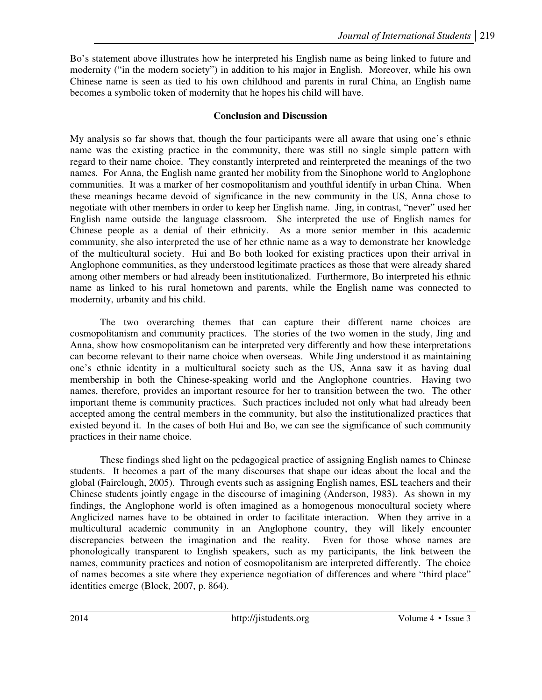Bo's statement above illustrates how he interpreted his English name as being linked to future and modernity ("in the modern society") in addition to his major in English. Moreover, while his own Chinese name is seen as tied to his own childhood and parents in rural China, an English name becomes a symbolic token of modernity that he hopes his child will have.

# **Conclusion and Discussion**

My analysis so far shows that, though the four participants were all aware that using one's ethnic name was the existing practice in the community, there was still no single simple pattern with regard to their name choice. They constantly interpreted and reinterpreted the meanings of the two names. For Anna, the English name granted her mobility from the Sinophone world to Anglophone communities. It was a marker of her cosmopolitanism and youthful identify in urban China. When these meanings became devoid of significance in the new community in the US, Anna chose to negotiate with other members in order to keep her English name. Jing, in contrast, "never" used her English name outside the language classroom. She interpreted the use of English names for Chinese people as a denial of their ethnicity. As a more senior member in this academic community, she also interpreted the use of her ethnic name as a way to demonstrate her knowledge of the multicultural society. Hui and Bo both looked for existing practices upon their arrival in Anglophone communities, as they understood legitimate practices as those that were already shared among other members or had already been institutionalized. Furthermore, Bo interpreted his ethnic name as linked to his rural hometown and parents, while the English name was connected to modernity, urbanity and his child.

The two overarching themes that can capture their different name choices are cosmopolitanism and community practices. The stories of the two women in the study, Jing and Anna, show how cosmopolitanism can be interpreted very differently and how these interpretations can become relevant to their name choice when overseas. While Jing understood it as maintaining one's ethnic identity in a multicultural society such as the US, Anna saw it as having dual membership in both the Chinese-speaking world and the Anglophone countries. Having two names, therefore, provides an important resource for her to transition between the two. The other important theme is community practices. Such practices included not only what had already been accepted among the central members in the community, but also the institutionalized practices that existed beyond it. In the cases of both Hui and Bo, we can see the significance of such community practices in their name choice.

These findings shed light on the pedagogical practice of assigning English names to Chinese students. It becomes a part of the many discourses that shape our ideas about the local and the global (Fairclough, 2005). Through events such as assigning English names, ESL teachers and their Chinese students jointly engage in the discourse of imagining (Anderson, 1983). As shown in my findings, the Anglophone world is often imagined as a homogenous monocultural society where Anglicized names have to be obtained in order to facilitate interaction. When they arrive in a multicultural academic community in an Anglophone country, they will likely encounter discrepancies between the imagination and the reality. Even for those whose names are phonologically transparent to English speakers, such as my participants, the link between the names, community practices and notion of cosmopolitanism are interpreted differently. The choice of names becomes a site where they experience negotiation of differences and where "third place" identities emerge (Block, 2007, p. 864).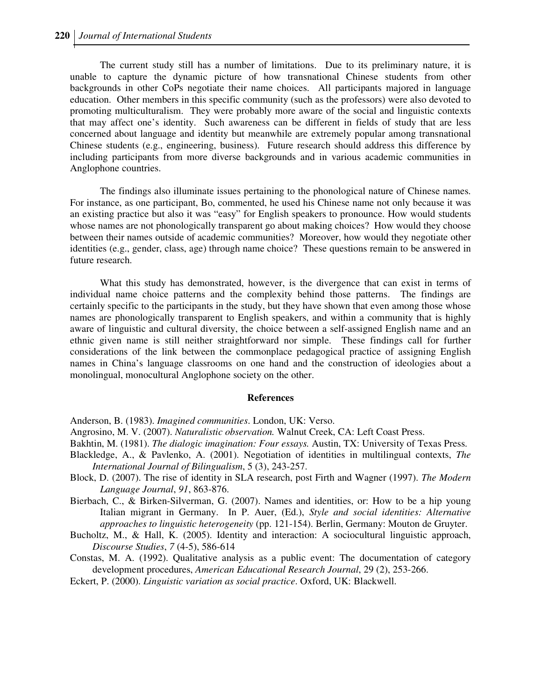The current study still has a number of limitations. Due to its preliminary nature, it is unable to capture the dynamic picture of how transnational Chinese students from other backgrounds in other CoPs negotiate their name choices. All participants majored in language education. Other members in this specific community (such as the professors) were also devoted to promoting multiculturalism. They were probably more aware of the social and linguistic contexts that may affect one's identity. Such awareness can be different in fields of study that are less concerned about language and identity but meanwhile are extremely popular among transnational Chinese students (e.g., engineering, business). Future research should address this difference by including participants from more diverse backgrounds and in various academic communities in Anglophone countries.

The findings also illuminate issues pertaining to the phonological nature of Chinese names. For instance, as one participant, Bo, commented, he used his Chinese name not only because it was an existing practice but also it was "easy" for English speakers to pronounce. How would students whose names are not phonologically transparent go about making choices? How would they choose between their names outside of academic communities? Moreover, how would they negotiate other identities (e.g., gender, class, age) through name choice? These questions remain to be answered in future research.

What this study has demonstrated, however, is the divergence that can exist in terms of individual name choice patterns and the complexity behind those patterns. The findings are certainly specific to the participants in the study, but they have shown that even among those whose names are phonologically transparent to English speakers, and within a community that is highly aware of linguistic and cultural diversity, the choice between a self-assigned English name and an ethnic given name is still neither straightforward nor simple. These findings call for further considerations of the link between the commonplace pedagogical practice of assigning English names in China's language classrooms on one hand and the construction of ideologies about a monolingual, monocultural Anglophone society on the other.

#### **References**

Anderson, B. (1983). *Imagined communities*. London, UK: Verso.

- Angrosino, M. V. (2007). *Naturalistic observation.* Walnut Creek, CA: Left Coast Press.
- Bakhtin, M. (1981). *The dialogic imagination: Four essays.* Austin, TX: University of Texas Press.
- Blackledge, A., & Pavlenko, A. (2001). Negotiation of identities in multilingual contexts, *The International Journal of Bilingualism*, 5 (3), 243-257.
- Block, D. (2007). The rise of identity in SLA research, post Firth and Wagner (1997). *The Modern Language Journal*, *91*, 863-876.
- Bierbach, C., & Birken-Silverman, G. (2007). Names and identities, or: How to be a hip young Italian migrant in Germany. In P. Auer, (Ed.), *Style and social identities: Alternative approaches to linguistic heterogeneity* (pp. 121-154). Berlin, Germany: Mouton de Gruyter.
- Bucholtz, M., & Hall, K. (2005). Identity and interaction: A sociocultural linguistic approach, *Discourse Studies*, *7* (4-5), 586-614

Constas, M. A. (1992). Qualitative analysis as a public event: The documentation of category development procedures, *American Educational Research Journal*, 29 (2), 253-266.

Eckert, P. (2000). *Linguistic variation as social practice*. Oxford, UK: Blackwell.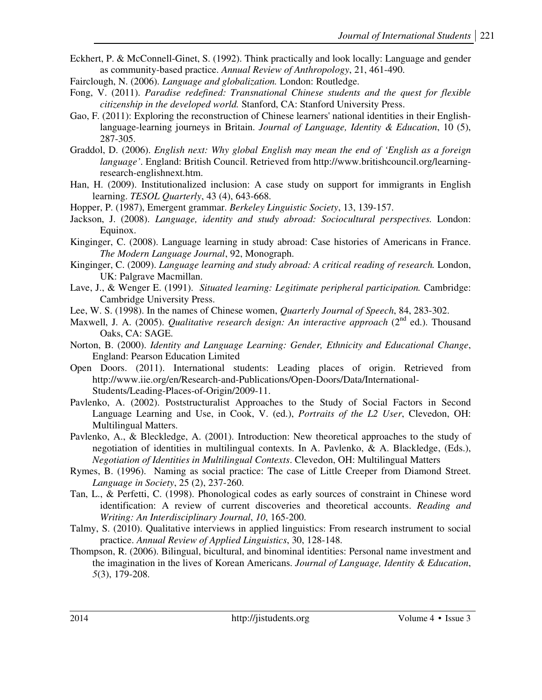- Eckhert, P. & McConnell-Ginet, S. (1992). Think practically and look locally: Language and gender as community-based practice. *Annual Review of Anthropology*, 21, 461-490.
- Fairclough, N. (2006). *Language and globalization.* London: Routledge.
- Fong, V. (2011). *Paradise redefined: Transnational Chinese students and the quest for flexible citizenship in the developed world.* Stanford, CA: Stanford University Press.
- Gao, F. (2011): Exploring the reconstruction of Chinese learners' national identities in their Englishlanguage-learning journeys in Britain. *Journal of Language, Identity & Education*, 10 (5), 287-305.
- Graddol, D. (2006). *English next: Why global English may mean the end of 'English as a foreign language'*. England: British Council. Retrieved from http://www.britishcouncil.org/learningresearch-englishnext.htm.
- Han, H. (2009). Institutionalized inclusion: A case study on support for immigrants in English learning. *TESOL Quarterly*, 43 (4), 643-668.
- Hopper, P. (1987), Emergent grammar. *Berkeley Linguistic Society*, 13, 139-157.
- Jackson, J. (2008). *Language, identity and study abroad: Sociocultural perspectives.* London: Equinox.
- Kinginger, C. (2008). Language learning in study abroad: Case histories of Americans in France. *The Modern Language Journal*, 92, Monograph.
- Kinginger, C. (2009). *Language learning and study abroad: A critical reading of research.* London, UK: Palgrave Macmillan.
- Lave, J., & Wenger E. (1991). *Situated learning: Legitimate peripheral participation*. Cambridge: Cambridge University Press.
- Lee, W. S. (1998). In the names of Chinese women, *Quarterly Journal of Speech*, 84, 283-302.
- Maxwell, J. A. (2005). *Qualitative research design: An interactive approach* (2<sup>nd</sup> ed.). Thousand Oaks, CA: SAGE.
- Norton, B. (2000). *Identity and Language Learning: Gender, Ethnicity and Educational Change*, England: Pearson Education Limited
- Open Doors. (2011). International students: Leading places of origin. Retrieved from http://www.iie.org/en/Research-and-Publications/Open-Doors/Data/International-Students/Leading-Places-of-Origin/2009-11.
- Pavlenko, A. (2002). Poststructuralist Approaches to the Study of Social Factors in Second Language Learning and Use, in Cook, V. (ed.), *Portraits of the L2 User*, Clevedon, OH: Multilingual Matters.
- Pavlenko, A., & Bleckledge, A. (2001). Introduction: New theoretical approaches to the study of negotiation of identities in multilingual contexts. In A. Pavlenko, & A. Blackledge, (Eds.), *Negotiation of Identities in Multilingual Contexts*. Clevedon, OH: Multilingual Matters
- Rymes, B. (1996). Naming as social practice: The case of Little Creeper from Diamond Street. *Language in Society*, 25 (2), 237-260.
- Tan, L., & Perfetti, C. (1998). Phonological codes as early sources of constraint in Chinese word identification: A review of current discoveries and theoretical accounts. *Reading and Writing: An Interdisciplinary Journal*, *10*, 165-200.
- Talmy, S. (2010). Qualitative interviews in applied linguistics: From research instrument to social practice. *Annual Review of Applied Linguistics*, 30, 128-148.
- Thompson, R. (2006). Bilingual, bicultural, and binominal identities: Personal name investment and the imagination in the lives of Korean Americans. *Journal of Language, Identity & Education*, *5*(3), 179-208.